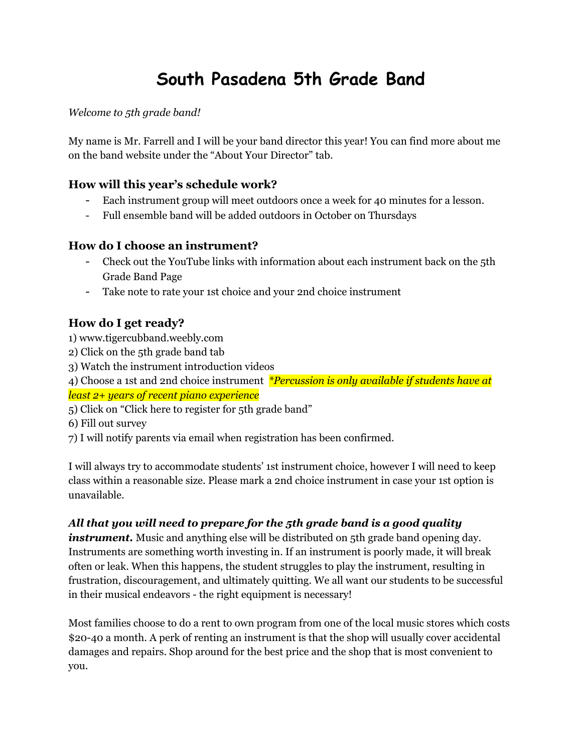# **South Pasadena 5th Grade Band**

*Welcome to 5th grade band!*

My name is Mr. Farrell and I will be your band director this year! You can find more about me on the band website under the "About Your Director" tab.

#### **How will this year's schedule work?**

- Each instrument group will meet outdoors once a week for 40 minutes for a lesson.
- Full ensemble band will be added outdoors in October on Thursdays

### **How do I choose an instrument?**

- Check out the YouTube links with information about each instrument back on the 5th Grade Band Page
- Take note to rate your 1st choice and your 2nd choice instrument

## **How do I get ready?**

- 1) [www.tigercubband.weebly.com](http://www.tigercubband.weebly.com)
- 2) Click on the 5th grade band tab
- 3) Watch the instrument introduction videos

4) Choose a 1st and 2nd choice instrument *\*Percussion is only available if students have at least 2+ years of recent piano experience*

- 5) Click on "Click here to register for 5th grade band"
- 6) Fill out survey
- 7) I will notify parents via email when registration has been confirmed.

I will always try to accommodate students' 1st instrument choice, however I will need to keep class within a reasonable size. Please mark a 2nd choice instrument in case your 1st option is unavailable.

#### *All that you will need to prepare for the 5th grade band is a good quality*

*instrument*. Music and anything else will be distributed on 5th grade band opening day. Instruments are something worth investing in. If an instrument is poorly made, it will break often or leak. When this happens, the student struggles to play the instrument, resulting in frustration, discouragement, and ultimately quitting. We all want our students to be successful in their musical endeavors - the right equipment is necessary!

Most families choose to do a rent to own program from one of the local music stores which costs \$20-40 a month. A perk of renting an instrument is that the shop will usually cover accidental damages and repairs. Shop around for the best price and the shop that is most convenient to you.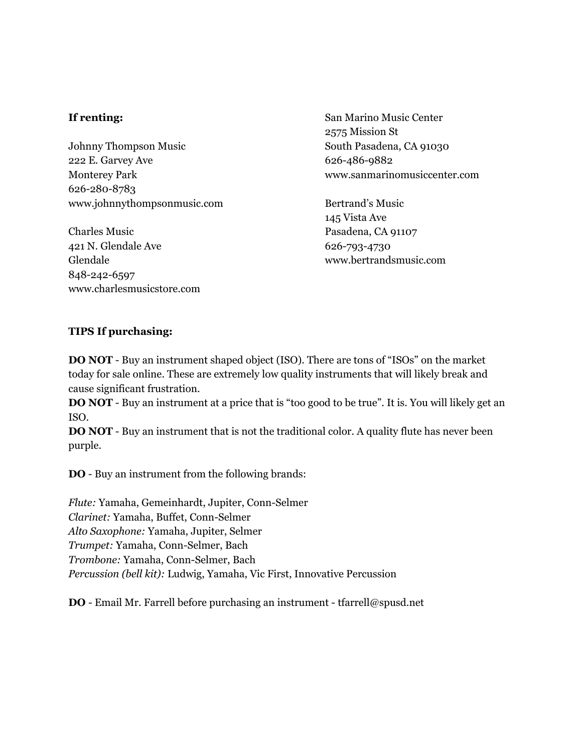#### **If renting:**

Johnny Thompson Music 222 E. Garvey Ave Monterey Park 626-280-8783 www.johnnythompsonmusic.com

Charles Music 421 N. Glendale Ave Glendale 848-242-6597 www.charlesmusicstore.com San Marino Music Center 2575 Mission St South Pasadena, CA 91030 626-486-9882 www.sanmarinomusiccenter.com

Bertrand's Music 145 Vista Ave Pasadena, CA 91107 [626-793-4730](https://www.google.com/search?q=bertrand%27s%20music&rlz=1C1GCEU_enUS822US822&oq=bertrands+music&aqs=chrome..69i57j0l5.1999j0j4&sourceid=chrome&ie=UTF-8&safe=strict&npsic=0&rflfq=1&rlha=0&rllag=33897798,-118010549,43496&tbm=lcl&rldimm=14704248894080613164&phdesc=Hb8UHsLOgWA&ved=2ahUKEwjqoa2J6rTiAhWUvJ4KHW6xD1sQvS4wAHoECAkQIg&rldoc=1&tbs=lrf:!2m1!1e2!2m1!1e3!3sIAE,lf:1,lf_ui:10#) [www.bertrandsmusic.com](http://www.bertrandsmusic.com)

#### **TIPS If purchasing:**

**DO NOT** - Buy an instrument shaped object (ISO). There are tons of "ISOs" on the market today for sale online. These are extremely low quality instruments that will likely break and cause significant frustration.

**DO NOT** - Buy an instrument at a price that is "too good to be true". It is. You will likely get an ISO.

**DO NOT** - Buy an instrument that is not the traditional color. A quality flute has never been purple.

**DO** - Buy an instrument from the following brands:

*Flute:* Yamaha, Gemeinhardt, Jupiter, Conn-Selmer *Clarinet:* Yamaha, Buffet, Conn-Selmer *Alto Saxophone:* Yamaha, Jupiter, Selmer *Trumpet:* Yamaha, Conn-Selmer, Bach *Trombone:* Yamaha, Conn-Selmer, Bach *Percussion (bell kit):* Ludwig, Yamaha, Vic First, Innovative Percussion

**DO** - Email Mr. Farrell before purchasing an instrument - tfarrell@spusd.net